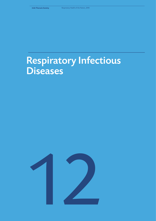# Respiratory Infectious Diseases

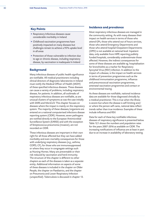# **Key Points**

- Respiratory Infectious diseases cause considerable morbidity in Ireland
- Childhood vaccination programmes have positively impacted on many diseases but challenges remain to achieve a 95% uptake level in all areas
- Protection of those vulnerable to infection due to age or chronic disease, including respiratory disease, by vaccination is inadequate In Ireland

## **Background**

Many infectious diseases of public health significance are notifiable. All medical practitioners including clinical directors of diagnostic laboratories in Ireland must notify the Medical Officer of Health (MOH) of these specified infectious diseases. These diseases can cause a variety of problems, including respiratory disease, for patients. In addition, all outbreaks of respiratory infectious diseases are notifiable, as are unusual clusters of symptoms as was the case initially with SARS and MersCoV. This chapter focuses on diseases where the impact is mainly on the respiratory system. The majority of these diseases/organisms are entered on a national computerised infections disease reporting system (CIDR). However, seven pathogens are notified directly to the European Antimicrobial Surveillance System (EARSS) and with the exception of Streptococcus pneumonia (invasive), are not recorded on CIDR.

These infectious diseases are important in their own right for all those affected but they can have added morbidity and even mortality consequences for those with underlying respiratory diseases (e.g., asthma, COPD, CF), for those who are immunosuppressed or where they occur in congregate settings such as Nursing Homes. Many are preventable or their risk reduced by vaccination and herd immunity. The structure of this chapter is different to other chapters as each of the diseases is taken as a separate entity. Additional information on aspects of some of these diseases is included in the chapter on Older People, the chapter on Paediatrics, and the chapter on Pneumonia and Lower Respiratory Infection (unspecified). Tuberculosis is discussed in chapter 13.

# **Incidence and prevalence**

Most respiratory infectious diseases are managed in the community setting. As with many diseases their impact on health services in terms of those who attend GPs, those who attend out of hours services, those who attend Emergency Departments and those who attend hospital Outpatient Departments (OPD) is not available at national level. Inpatient data, only available from HIPE reporting publicly funded hospitals, considerably underestimate those affected. However, the indirect consequences for some of these diseases are available eg. hospitalisation for bronchiolitis as a marker for Respiratory Syncytial Virus (RSV) infection. In addition to the impact of a disease, is the impact on health services in terms of prevention programmes such as the childhood immunisation programme, influenza and pneumococcal vaccination programmes, antenatal vaccination programmes and contact or environmental tracing.

As these diseases are notifiable, national incidence data are available for those diagnosed clinically by a medical practitioner. This is true when the illness is severe but where the disease is self-limiting and/ or where the person self-cares, national data reflect trends rather than true incidence. Examples of these include influenza and RSV.

Data for each of these key notifiable infectious diseases of respiratory significance is presented below. Table 12.1 shows the numbers and population rates for the years 2007-2016 as available on CIDR. The increasing notifications of influenza are at least in part due to an increase in availability of laboratory testing.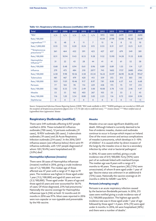| <b>Total</b>                    | 2007         | 2008         | 2009           | 2010         | 2011           | 2012         | 2013        | 2014        | 2015           | 2016  |
|---------------------------------|--------------|--------------|----------------|--------------|----------------|--------------|-------------|-------------|----------------|-------|
| *RSV                            | n/a          | n/a          | n/a            | n/a          | n/a            | 1972         | 1282        | 2479        | 2201           | 2690  |
| Rate/100,000                    |              |              |                |              |                | 43.04        | 27.98       | 52.06       | 46.22          | 56.49 |
| Legionellosis****               | 15           | 48           | 9              | 11           | $\overline{7}$ | 15           | 14          | 8           | 12             | 10    |
| Rate/1,000,000                  | 0.35         | 1.13         | 0.20           | 0.24         | 0.15           | 0.33         | 0.31        | 0.17        | 0.25           | 0.21  |
| **Streptococcus<br>pneumonia*** | 361          | 464          | 432            | 391          | 425            | 427          | 637         | 679         | 549            | 381   |
| Rate/100,000                    | 8.51         | 10.94        | 9.43           | 8.53         | 9.28           | 9.32         | 13.90       | 14.28       | 11.53          | 8.00  |
| Haemophilus<br>Influenza***     | 31           | 22           | 43             | 28           | 44             | 41           | 41          | 61          | 52             | 58    |
| Rate/100,000                    | 0.68         | 0.48         | 0.94           | 0.61         | 0.96           | 0.89         | 0.89        | 1.33        | 1.14           | 1.27  |
| Influenza                       | 279          | 473          | 484            | 210          | 2077           | 743          | 1602        | 1757        | 2680           | 4764  |
| Rate/100,000                    | 6.58         | 9.98         | 10.56          | 4.58         | 45.34          | 16.22        | 34.97       | 36.90       | 56.28          | 99.67 |
| <b>Tuberculosis</b>             | 481          | 467          | 479            | 420          | 413            | 359          | 372         | 313         | 303            | 318   |
| Rate/100,000                    | 10.9         | 11.01        | 10.46          | 9.17         | 8.97           | 7.81         | 8.08        | 6.57        | 6.6            | 6.68  |
| Pertussis                       | 77           | 104          | 78             | 114          | 229            | 458          | 173         | 73          | 117            | 213   |
| Rate/100,000                    | 1.82         | 0.33         | 1.70           | 2.49         | 5.00           | 10.00        | 3.78        | 1.53        | 2.46           | 4.47  |
| <b>Measles</b>                  | 53           | 55           | 162            | 403          | 267            | 103          | 53          | 33          | $\overline{2}$ | 43    |
| Rate/100,000                    | 1.16         | 1.20         | 3.54           | 8.80         | 5.83           | 2.25         | 1.16        | 0.72        | 0.04           | 0.94  |
| <b>Diphtheriae</b>              | $\mathbf{0}$ | $\mathbf{0}$ | $\overline{0}$ | $\mathbf{0}$ | $\overline{0}$ | $\mathbf{0}$ | $\mathbf 0$ | $\mathbf 0$ | < 5            | < 5   |

## **Table 12.1. Respiratory infectious diseases (notifiable) 2007-2016**

*Source: Computerised Infectious Disease Reporting System (CIDR) \*RSV made notifiable in 2012 \*\*EARSS pathogens not recorded on CIDR with the exception of Streptococcus pneumonia (figures since 1/7/15 refer only to confirmed cases). \*\*\* invasive disease \*\*\*\*Most notified cases of Legionellosis have Legionnaires' disease*

# **Respiratory Outbreaks (notified)**

There were 549 outbreaks affecting 6,937 people notified in 2016. These included 65 influenza outbreaks (700 cases), 12 pertussis outbreaks (31 cases), 10 RSV outbreaks (85 cases), 5 tuberculosis outbreaks (19 cases) and 26 Acute Respiratory Infection outbreaks (214 cases)*<sup>1</sup>* .In the 2016/2017 influenza season (see influenza below) there were 91 influenza outbreaks, with 1,157 people diagnosed of whom 120 (10.4%) were hospitalised and 35 (3.0%) died*<sup>1</sup>* .

## *Haemophilus influenzae (invasive)*

There were 58 cases of Haemophilus influenzae (invasive) notified in 2016, giving a crude incidence rate of 1.2/100,000. The median age of those affected was 47 years with a range of 11 days to 91 years. The incidence was highest in those aged under 1 year (11.2/100,000) and aged 65 years and over (3.3/100,000). Those aged under 10 years of age and those aged 65 years and over accounted for 56.1% of cases. Of those diagnosed, 25% had pneumonia.*<sup>1</sup>* Nationally the vaccine coverage for Haemophilus influenzae type b (Hib) at both 12 months and 24 months in 2016 was 91%. Most cases reported in 2016 were non-capsular or non-typeable and preventable by the Hib vaccine.

## *Measles*

Measles virus can cause significant disability and death. Although Ireland is currently deemed to be free of endemic measles, clusters and outbreaks continue to occur in Europe which impact on Ireland. One of the most common and serious complications of measles is pneumonia, which develops in 5–10% of children*<sup>2</sup>* . It is caused either by direct invasion of the lungs by the measles virus or due to a secondary infection by other viral or bacterial pathogens*<sup>2</sup>* .

In 2016, 43 cases were notified, giving a crude incidence rate of 0.9/100,000. Forty (93%) were part of an outbreak linked with mainland Europe. The median age was 8 years with a range of 3 months to 40 years. Three quarters (30) (75%) were unvaccinated, of whom 8 were aged under 1 year of age. Vaccine status was unknown in an additional 6 (15%) cases. Nationally the vaccine coverage at 24 months in 2016 for MMR1 was 92% *<sup>1</sup>* .

## *Pertussis (whooping cough)*

Pertussis is an acute respiratory infection caused by the bacterium Bordetella pertussis. In 2016, 213 cases were notified giving a crude incidence rate of 4.5/100,000 population. The highest age specific incidence rate was in those aged under 1 year of age followed by those aged 1-4 years. 35% (74) were aged under 6 months. In 2016, 64 were hospitalised (30%) and there were a number of deaths*<sup>1</sup>* .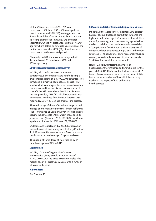Of the 213 notified cases, 37% (78) were unvaccinated. Of these, 73% (57) were aged less than 6 months, and 36% (28) were aged less than 2 months and therefore too young for vaccination so relying on maternal immunity and antenatal vaccination. Of the 74 cases aged less than 1 year of age for whom details on antenatal vaccination of the mother were available, 83% (70) of mothers were unvaccinated in the antenatal period.

Nationally in 2016 the vaccine coverage at both 12 months and 24 months was 91% and 95% respectively.

## *Streptococcus pneumoniae (invasive)*

In 2016, 381 confirmed cases of invasive Streptococcus pneumoniae were notified giving a crude incidence rate of 8.3/100,000 population. The term used is invasive pneumococcal disease (IPD) which includes meningitis, bacteraemia with/without pneumonia and invasive disease from other sterile sties. Of the 313 cases where the clinical diagnosis site was provided, 71% (222) had bacteraemia with pneumonia. For those for whom a risk factor was reported (256), 41% (59) had chronic lung disease.*<sup>1</sup>*

The median age of those affected was 64 years with a range of one month to 94 years. Almost half (49% (188)) were aged 65 years and over. The highest age specific incidence rate (ASIR) was in those aged 85 years and over (44 cases, 75.3/100,000). In children aged under 2 years the ASIR was 17.2/100,000.*<sup>1</sup>*

Outcome was reported in 323 (85%) of cases. For these, the overall case fatality was 18.8% (61) but for 13, IPD was not the cause of death. Most, but not all, deaths occurred in those aged 35 years and over.

The uptake of three doses of PCV vaccine by 24 months of age was 91% in 2016.

## *Legionellosis*

In 2016, 10 cases of Legionnaires' disease were notified giving a crude incidence rate of 2.1/1,000,000. Of the cases, 60% were males. The median age of all cases was 62 years with a range of 28 years to 82 years.*<sup>1</sup>*

## *Tuberculosis*

See Chapter 13

## *Influenza and Other Seasonal Respiratory Viruses*

Influenza is the world's most important viral disease*<sup>3</sup>* . Rates of serious illness and death from influenza are highest in individuals aged 65 years and older, children under 2 years of age and persons of any age who have medical conditions that predispose to increased risk of complications from influenza. More than 90% of influenza-related deaths occur in patients in the older age group*<sup>3</sup>* . The attack rates during seasonal influenza can vary considerably from year to year, but usually 5–20% of the population are affected*<sup>3</sup>* .

Figure 12.1 below reflects the numbers of hospitalisations for influenza and bronchiolitis for the years 2009-2016. RSV, a notifiable disease since 2012, is one of most common causes of acute bronchiolitis hence the inclusion here of bronchiolitis as a proxy marker of the impact of RSV on hospital health services.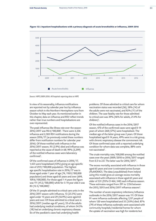

#### **Figure 12.1. Inpatient hospitalisations with a primary diagnosis of acute bronchiolitis or influenza, 2009-2016**

*Source: HIPE 2009-2016. All hospitals reporting data to HIPE* 

In view of its seasonality, influenza notifications are reported not by calendar year but by influenza season which in the Northern Hemisphere runs from October to May each year. As mentioned earlier in this chapter, data on influenza and RSV reflect trends rather than true numbers and hospitalisations are over-represented.

The peak influenza-like illness rate over the season 2016/2017 was 90.4/100,000*<sup>1</sup>* . There were 3,336 influenza and 2,583 RSV notifications during the season 2016/17 (as previously noted these numbers differ from notification numbers for calendar year 2016). Of those notified with influenza in the 2016/2017 season, 95 (2.9%) died and influenza was reported as the cause of death in 68. 99% (3,299) of the notified influenza cases were laboratory confirmed*<sup>1</sup>* .

Of the confirmed cases of influenza in 2016/17, 1,425 were hospitalised (43%) giving an age specific rate of 29.9/100,000 population. The highest age specific hospitalisation rate in 2016/17 was in those aged under 1 year of age (74, 118.9/100,000 population) and those aged 65 years and over (699, 109.6/100,000). For those aged 1-4 years the figure was 111 (41.2/100,000) while for 5-14 year olds it was 83 (12.3/100,000)*<sup>1</sup>* .

Of the 51 people admitted to critical care units in the 2016/2017 season with influenza, 13 (25.5%) were aged under 15 years and 29 (56.9%) were aged 65 years and over. Of those admitted to critical care in 2016/2017 (median age 67 years), 33 of the adults had underlying medical conditions, of whom 54.5% (18) had an underlying chronic respiratory disease. Six of the paediatric cases had underlying health

problems. Of those admitted to critical care for whom vaccination status was recorded (36), 58% (14) of the adults were not vaccinated, and 92% (11) of the children. The case fatality rate for those admitted to critical care was 39% (46% for adults, 21.4% for children)*<sup>1</sup>* .

Of the notified influenza cases in the 2016/2017 season, 470 of the confirmed cases were aged 0-14 years of whom 268 (57%) were hospitalised. The median age of the latter group was 2 years. Of those hospitalised aged 0-14 years, 49% were in a risk group, with chronic respiratory disease the commonest risk. Of those confirmed cases with a reported underlying condition for whom data was complete, 88% were not vaccinated*<sup>1</sup>* .

The crude mortality rate/100,000 among the notified cases over the years 2009/2010 to 2016/2017 ranged from 0.3 to 2.0. The latter was for 2016/2017*<sup>1</sup>* .

The excess mortality associated with influenza in those aged 65 years and over is estimated across Europe (FluMOMO). The data (unpublished) from Ireland using this model gives an average excess mortality associated with influenza in those aged 65 years and older of 531 (95% CI 464, 540) each influenza season. These estimates ranged from 291 to 1,156 between the 2012/2013 and 2016/2017 influenza seasons*<sup>4</sup>* .

The number of acute respiratory infections/influenza outbreaks in the 2016/2017 season was 111. Of these 91 were influenza outbreaks affecting 1,157 people of whom 120 were hospitalised and 35 (3.0%) died. 87% (79) of these influenza outbreaks were associated with community hospitals/residential homes for whom the uptake of vaccination was high for residents but